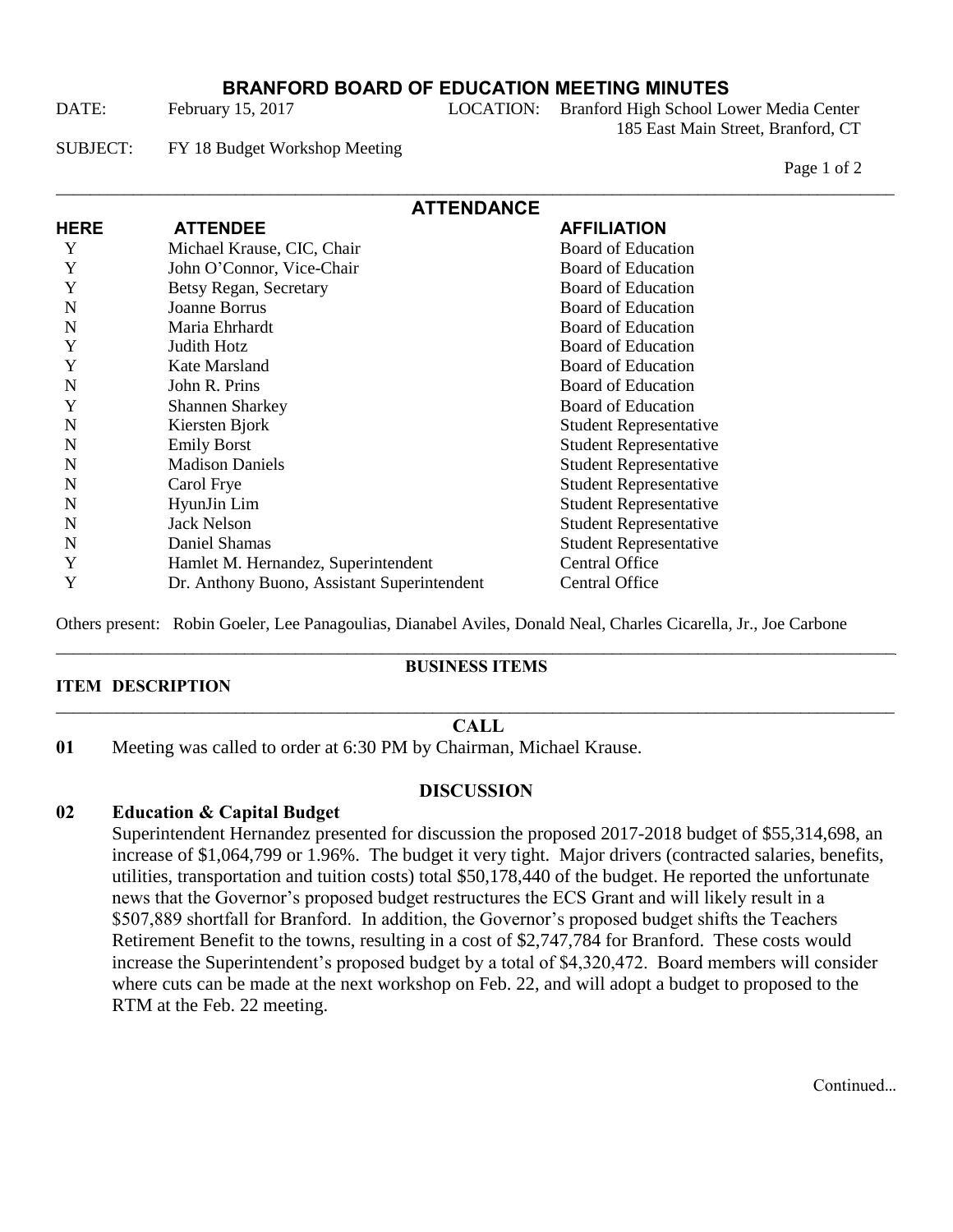## **BRANFORD BOARD OF EDUCATION MEETING MINUTES**

DATE: February 15, 2017 LOCATION: Branford High School Lower Media Center

185 East Main Street, Branford, CT

SUBJECT: FY 18 Budget Workshop Meeting

Page 1 of 2

| <b>ATTENDANCE</b> |                                             |                               |
|-------------------|---------------------------------------------|-------------------------------|
| <b>HERE</b>       | <b>ATTENDEE</b>                             | <b>AFFILIATION</b>            |
| Y                 | Michael Krause, CIC, Chair                  | <b>Board of Education</b>     |
| Y                 | John O'Connor, Vice-Chair                   | <b>Board of Education</b>     |
| Y                 | Betsy Regan, Secretary                      | <b>Board of Education</b>     |
| N                 | Joanne Borrus                               | <b>Board of Education</b>     |
| N                 | Maria Ehrhardt                              | <b>Board of Education</b>     |
| Y                 | Judith Hotz                                 | <b>Board of Education</b>     |
| Y                 | Kate Marsland                               | <b>Board of Education</b>     |
| N                 | John R. Prins                               | Board of Education            |
| Y                 | <b>Shannen Sharkey</b>                      | <b>Board of Education</b>     |
| N                 | Kiersten Bjork                              | <b>Student Representative</b> |
| N                 | <b>Emily Borst</b>                          | <b>Student Representative</b> |
| N                 | <b>Madison Daniels</b>                      | <b>Student Representative</b> |
| N                 | Carol Frye                                  | <b>Student Representative</b> |
| N                 | HyunJin Lim                                 | <b>Student Representative</b> |
| N                 | <b>Jack Nelson</b>                          | <b>Student Representative</b> |
| N                 | Daniel Shamas                               | <b>Student Representative</b> |
| Y                 | Hamlet M. Hernandez, Superintendent         | Central Office                |
| Y                 | Dr. Anthony Buono, Assistant Superintendent | Central Office                |

Others present: Robin Goeler, Lee Panagoulias, Dianabel Aviles, Donald Neal, Charles Cicarella, Jr., Joe Carbone

### **ITEM DESCRIPTION**

#### \_\_\_\_\_\_\_\_\_\_\_\_\_\_\_\_\_\_\_\_\_\_\_\_\_\_\_\_\_\_\_\_\_\_\_\_\_\_\_\_\_\_\_\_\_\_\_\_\_\_\_\_\_\_\_\_\_\_\_\_\_\_\_\_\_\_\_\_\_\_\_\_\_\_\_\_\_\_\_\_\_\_\_\_\_\_\_\_\_\_\_\_\_\_\_\_\_\_ **BUSINESS ITEMS**

### \_\_\_\_\_\_\_\_\_\_\_\_\_\_\_\_\_\_\_\_\_\_\_\_\_\_\_\_\_\_\_\_\_\_\_\_\_\_\_\_\_\_\_\_\_\_\_\_\_\_\_\_\_\_\_\_\_\_\_\_\_\_\_\_\_\_\_\_\_\_\_\_\_\_\_\_\_\_\_\_\_\_\_\_\_\_\_\_\_\_\_\_\_\_\_\_\_\_ **CALL**

**01** Meeting was called to order at 6:30 PM by Chairman, Michael Krause.

## **DISCUSSION**

## **02 Education & Capital Budget**

Superintendent Hernandez presented for discussion the proposed 2017-2018 budget of \$55,314,698, an increase of \$1,064,799 or 1.96%. The budget it very tight. Major drivers (contracted salaries, benefits, utilities, transportation and tuition costs) total \$50,178,440 of the budget. He reported the unfortunate news that the Governor's proposed budget restructures the ECS Grant and will likely result in a \$507,889 shortfall for Branford. In addition, the Governor's proposed budget shifts the Teachers Retirement Benefit to the towns, resulting in a cost of \$2,747,784 for Branford. These costs would increase the Superintendent's proposed budget by a total of \$4,320,472. Board members will consider where cuts can be made at the next workshop on Feb. 22, and will adopt a budget to proposed to the RTM at the Feb. 22 meeting.

Continued…